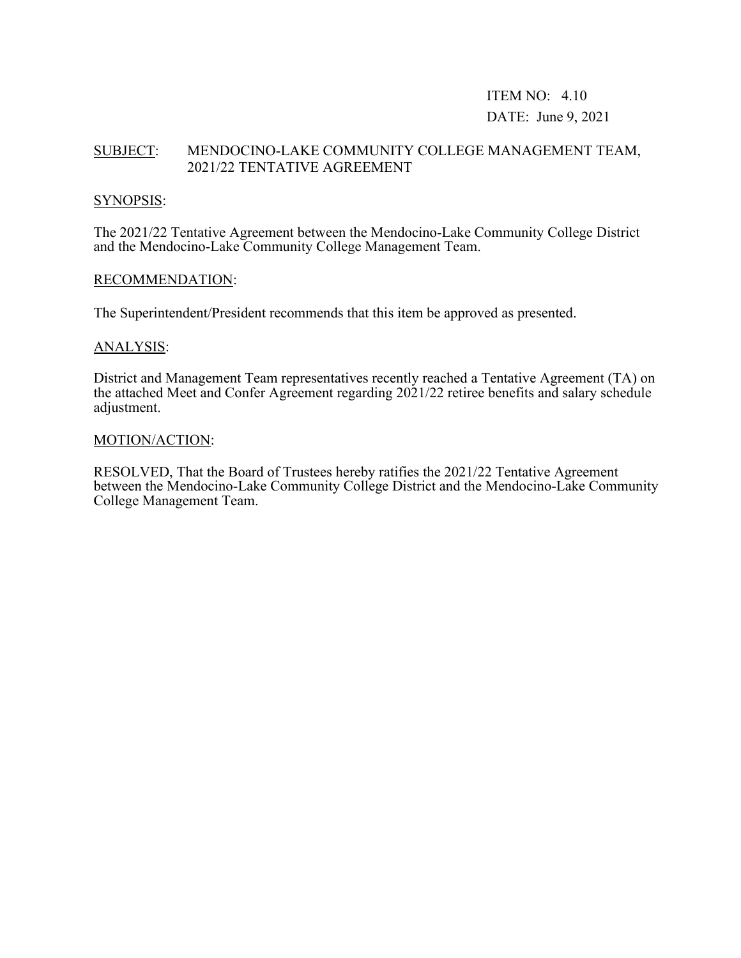## ITEM NO: 4.10 DATE: June 9, 2021

## SUBJECT: MENDOCINO-LAKE COMMUNITY COLLEGE MANAGEMENT TEAM, 2021/22 TENTATIVE AGREEMENT

### SYNOPSIS:

The 2021/22 Tentative Agreement between the Mendocino-Lake Community College District and the Mendocino-Lake Community College Management Team.

#### RECOMMENDATION:

The Superintendent/President recommends that this item be approved as presented.

### ANALYSIS:

District and Management Team representatives recently reached a Tentative Agreement (TA) on the attached Meet and Confer Agreement regarding 2021/22 retiree benefits and salary schedule adjustment.

#### MOTION/ACTION:

RESOLVED, That the Board of Trustees hereby ratifies the 2021/22 Tentative Agreement between the Mendocino-Lake Community College District and the Mendocino-Lake Community College Management Team.